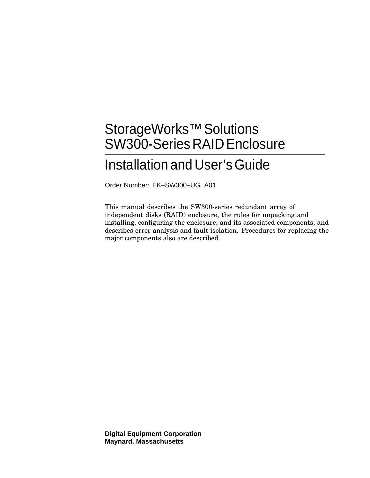# StorageWorks<sup>™</sup> Solutions SW300-Series RAID Enclosure

# Installation and User's Guide

Order Number: EK–SW300–UG. A01

This manual describes the SW300-series redundant array of independent disks (RAID) enclosure, the rules for unpacking and installing, configuring the enclosure, and its associated components, and describes error analysis and fault isolation. Procedures for replacing the major components also are described.

**Digital Equipment Corporation Maynard, Massachusetts**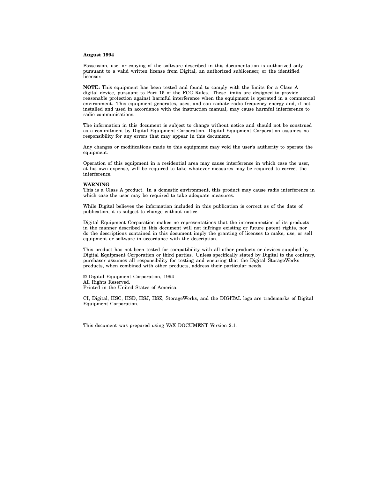#### **August 1994**

Possession, use, or copying of the software described in this documentation is authorized only pursuant to a valid written license from Digital, an authorized sublicensor, or the identified licensor.

**NOTE:** This equipment has been tested and found to comply with the limits for a Class A digital device, pursuant to Part 15 of the FCC Rules. These limits are designed to provide reasonable protection against harmful interference when the equipment is operated in a commercial environment. This equipment generates, uses, and can radiate radio frequency energy and, if not installed and used in accordance with the instruction manual, may cause harmful interference to radio communications.

The information in this document is subject to change without notice and should not be construed as a commitment by Digital Equipment Corporation. Digital Equipment Corporation assumes no responsibility for any errors that may appear in this document.

Any changes or modifications made to this equipment may void the user's authority to operate the equipment.

Operation of this equipment in a residential area may cause interference in which case the user, at his own expense, will be required to take whatever measures may be required to correct the interference.

#### **WARNING**

This is a Class A product. In a domestic environment, this product may cause radio interference in which case the user may be required to take adequate measures.

While Digital believes the information included in this publication is correct as of the date of publication, it is subject to change without notice.

Digital Equipment Corporation makes no representations that the interconnection of its products in the manner described in this document will not infringe existing or future patent rights, nor do the descriptions contained in this document imply the granting of licenses to make, use, or sell equipment or software in accordance with the description.

This product has not been tested for compatibility with all other products or devices supplied by Digital Equipment Corporation or third parties. Unless specifically stated by Digital to the contrary, purchaser assumes all responsibility for testing and ensuring that the Digital StorageWorks products, when combined with other products, address their particular needs.

© Digital Equipment Corporation, 1994 All Rights Reserved. Printed in the United States of America.

CI, Digital, HSC, HSD, HSJ, HSZ, StorageWorks, and the DIGITAL logo are trademarks of Digital Equipment Corporation.

This document was prepared using VAX DOCUMENT Version 2.1.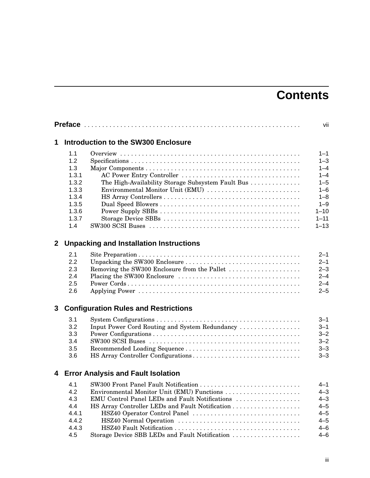# **Contents**

|             |                                                                                         |                                                                                                                                                                                                                                                                           | vii                                                                                                                      |  |
|-------------|-----------------------------------------------------------------------------------------|---------------------------------------------------------------------------------------------------------------------------------------------------------------------------------------------------------------------------------------------------------------------------|--------------------------------------------------------------------------------------------------------------------------|--|
| 1           | <b>Introduction to the SW300 Enclosure</b>                                              |                                                                                                                                                                                                                                                                           |                                                                                                                          |  |
|             | 1.1<br>1.2<br>1.3<br>1.3.1<br>1.3.2<br>1.3.3<br>1.3.4<br>1.3.5<br>1.3.6<br>1.3.7<br>1.4 | The High-Availability Storage Subsystem Fault Bus<br>Environmental Monitor Unit (EMU)                                                                                                                                                                                     | $1 - 1$<br>$1 - 3$<br>$1 - 4$<br>$1 - 4$<br>$1 - 5$<br>$1 - 6$<br>$1 - 8$<br>$1 - 9$<br>$1 - 10$<br>$1 - 11$<br>$1 - 13$ |  |
| $\mathbf 2$ |                                                                                         | <b>Unpacking and Installation Instructions</b>                                                                                                                                                                                                                            |                                                                                                                          |  |
|             | 2.1<br>2.2<br>2.3<br>2.4<br>2.5<br>2.6                                                  | Removing the SW300 Enclosure from the Pallet                                                                                                                                                                                                                              | $2 - 1$<br>$2 - 1$<br>$2 - 3$<br>$2 - 4$<br>$2 - 4$<br>$2 - 5$                                                           |  |
| 3           |                                                                                         | <b>Configuration Rules and Restrictions</b>                                                                                                                                                                                                                               |                                                                                                                          |  |
|             | 3.1<br>3.2<br>3.3<br>3.4<br>3.5<br>3.6                                                  | Input Power Cord Routing and System Redundancy                                                                                                                                                                                                                            | $3 - 1$<br>$3 - 1$<br>$3 - 2$<br>$3 - 2$<br>$3 - 3$<br>$3 - 3$                                                           |  |
| 4           |                                                                                         | <b>Error Analysis and Fault Isolation</b>                                                                                                                                                                                                                                 |                                                                                                                          |  |
|             | 4.1<br>4.2<br>4.3<br>4.4<br>4.4.1<br>4.4.2<br>4.4.3<br>4.5                              | SW300 Front Panel Fault Notification<br>Environmental Monitor Unit (EMU) Functions<br>EMU Control Panel LEDs and Fault Notifications<br>HS Array Controller LEDs and Fault Notification<br>HSZ40 Operator Control Panel<br>Storage Device SBB LEDs and Fault Notification | $4 - 1$<br>$4 - 3$<br>$4 - 3$<br>$4 - 5$<br>$4 - 5$<br>$4 - 5$<br>$4 - 6$<br>$4 - 6$                                     |  |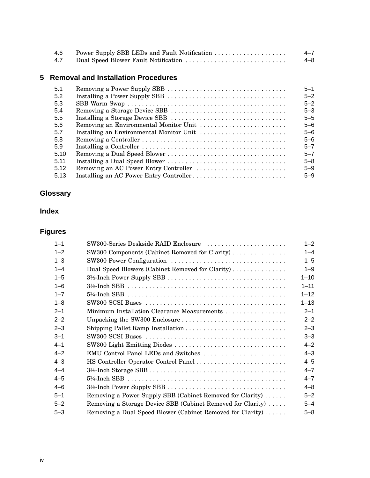| 4.6 | Power Supply SBB LEDs and Fault Notification | $4 - 7$ |
|-----|----------------------------------------------|---------|
| 4.7 | Dual Speed Blower Fault Notification         | $4 - 8$ |

# **5 Removal and Installation Procedures**

| 5.1  | $5 - 1$ |
|------|---------|
| 5.2  | $5 - 2$ |
| 5.3  | $5 - 2$ |
| 5.4  | $5 - 3$ |
| 5.5  | $5 - 5$ |
| 5.6  | $5 - 6$ |
| 5.7  | $5 - 6$ |
| 5.8  | $5 - 6$ |
| 5.9  | $5 - 7$ |
| 5.10 | $5 - 7$ |
| 5.11 | $5 - 8$ |
| 5.12 | $5 - 9$ |
| 5.13 | $5 - 9$ |

# **Glossary**

# **Index**

# **Figures**

| $1 - 1$ | SW300-Series Deskside RAID Enclosure                        | $1 - 2$  |
|---------|-------------------------------------------------------------|----------|
| $1 - 2$ | SW300 Components (Cabinet Removed for Clarity)              | $1 - 4$  |
| $1 - 3$ |                                                             | $1 - 5$  |
| $1 - 4$ | Dual Speed Blowers (Cabinet Removed for Clarity)            | $1 - 9$  |
| $1 - 5$ |                                                             | $1 - 10$ |
| $1 - 6$ |                                                             | $1 - 11$ |
| $1 - 7$ |                                                             | $1 - 12$ |
| $1 - 8$ |                                                             | $1 - 13$ |
| $2 - 1$ | Minimum Installation Clearance Measurements                 | $2 - 1$  |
| $2 - 2$ | Unpacking the SW300 Enclosure                               | $2 - 2$  |
| $2 - 3$ |                                                             | $2 - 3$  |
| $3 - 1$ |                                                             | $3 - 3$  |
| $4 - 1$ | SW300 Light Emitting Diodes                                 | $4 - 2$  |
| $4 - 2$ | EMU Control Panel LEDs and Switches                         | $4 - 3$  |
| $4 - 3$ | HS Controller Operator Control Panel                        | $4 - 5$  |
| $4 - 4$ |                                                             | $4 - 7$  |
| $4 - 5$ |                                                             | $4 - 7$  |
| $4 - 6$ |                                                             | $4 - 8$  |
| $5 - 1$ | Removing a Power Supply SBB (Cabinet Removed for Clarity)   | $5 - 2$  |
| $5 - 2$ | Removing a Storage Device SBB (Cabinet Removed for Clarity) | $5 - 4$  |
| $5 - 3$ | Removing a Dual Speed Blower (Cabinet Removed for Clarity)  | $5 - 8$  |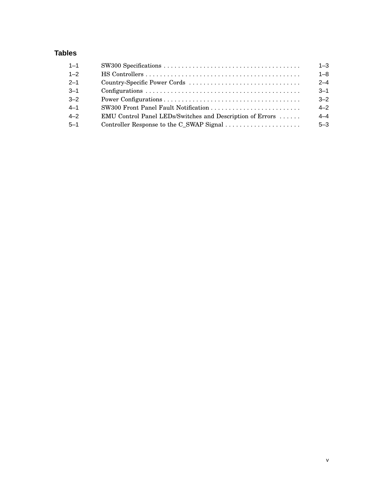# **Tables**

| $1 - 1$ |                                                           | $1 - 3$ |
|---------|-----------------------------------------------------------|---------|
| $1 - 2$ |                                                           | $1 - 8$ |
| $2 - 1$ |                                                           | $2 - 4$ |
| $3 - 1$ |                                                           | $3 - 1$ |
| $3 - 2$ |                                                           | $3 - 2$ |
| $4 - 1$ |                                                           | $4 - 2$ |
| $4 - 2$ | EMU Control Panel LEDs/Switches and Description of Errors | $4 - 4$ |
| $5 - 1$ | Controller Response to the C_SWAP Signal                  | $5 - 3$ |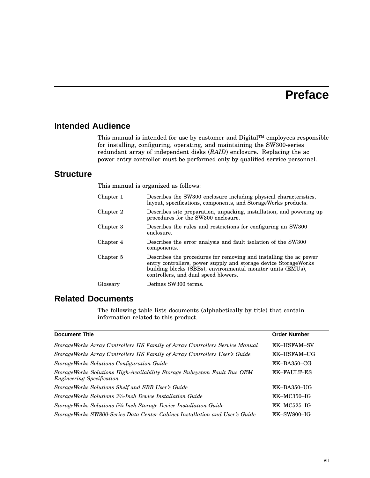# **Preface**

## **Intended Audience**

This manual is intended for use by customer and Digital™ employees responsible for installing, configuring, operating, and maintaining the SW300-series redundant array of independent disks (*RAID*) enclosure. Replacing the ac power entry controller must be performed only by qualified service personnel.

### **Structure**

This manual is organized as follows:

| Chapter 1 | Describes the SW300 enclosure including physical characteristics,<br>layout, specifications, components, and StorageWorks products.                                                                                                          |
|-----------|----------------------------------------------------------------------------------------------------------------------------------------------------------------------------------------------------------------------------------------------|
| Chapter 2 | Describes site preparation, unpacking, installation, and powering up<br>procedures for the SW300 enclosure.                                                                                                                                  |
| Chapter 3 | Describes the rules and restrictions for configuring an SW300<br>enclosure.                                                                                                                                                                  |
| Chapter 4 | Describes the error analysis and fault isolation of the SW300<br>components.                                                                                                                                                                 |
| Chapter 5 | Describes the procedures for removing and installing the ac power<br>entry controllers, power supply and storage device Storage Works<br>building blocks (SBBs), environmental monitor units (EMUs),<br>controllers, and dual speed blowers. |
| Glossary  | Defines SW300 terms.                                                                                                                                                                                                                         |

# **Related Documents**

The following table lists documents (alphabetically by title) that contain information related to this product.

| <b>Document Title</b>                                                                                        | <b>Order Number</b> |
|--------------------------------------------------------------------------------------------------------------|---------------------|
| StorageWorks Array Controllers HS Family of Array Controllers Service Manual                                 | <b>EK-HSFAM-SV</b>  |
| StorageWorks Array Controllers HS Family of Array Controllers User's Guide                                   | <b>EK-HSFAM-UG</b>  |
| <b>StorageWorks Solutions Configuration Guide</b>                                                            | $EK-BA350-CG$       |
| StorageWorks Solutions High-Availability Storage Subsystem Fault Bus OEM<br><b>Engineering Specification</b> | EK-FAULT-ES         |
| StorageWorks Solutions Shelf and SBB User's Guide                                                            | $EK-BA350-UG$       |
| StorageWorks Solutions 3 <sup>1</sup> /2-Inch Device Installation Guide                                      | $EK-MC350-IG$       |
| StorageWorks Solutions 5 <sup>1</sup> /4-Inch Storage Device Installation Guide                              | $EK-MC525-IG$       |
| StorageWorks SW800-Series Data Center Cabinet Installation and User's Guide                                  | $EK$ -SW800-IG      |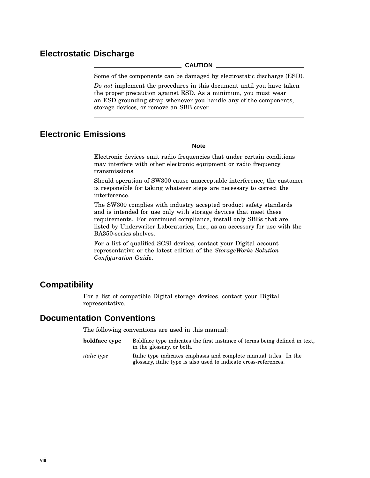# **Electrostatic Discharge**

#### **CAUTION**

Some of the components can be damaged by electrostatic discharge (ESD).

*Do not* implement the procedures in this document until you have taken the proper precaution against ESD. As a minimum, you must wear an ESD grounding strap whenever you handle any of the components, storage devices, or remove an SBB cover.

## **Electronic Emissions**

**Note**

Electronic devices emit radio frequencies that under certain conditions may interfere with other electronic equipment or radio frequency transmissions.

Should operation of SW300 cause unacceptable interference, the customer is responsible for taking whatever steps are necessary to correct the interference.

The SW300 complies with industry accepted product safety standards and is intended for use only with storage devices that meet these requirements. For continued compliance, install only SBBs that are listed by Underwriter Laboratories, Inc., as an accessory for use with the BA350-series shelves.

For a list of qualified SCSI devices, contact your Digital account representative or the latest edition of the *StorageWorks Solution Configuration Guide*.

### **Compatibility**

For a list of compatible Digital storage devices, contact your Digital representative.

### **Documentation Conventions**

The following conventions are used in this manual:

| boldface type      | Boldface type indicates the first instance of terms being defined in text,<br>in the glossary, or both.                               |
|--------------------|---------------------------------------------------------------------------------------------------------------------------------------|
| <i>italic</i> type | Italic type indicates emphasis and complete manual titles. In the<br>glossary, italic type is also used to indicate cross-references. |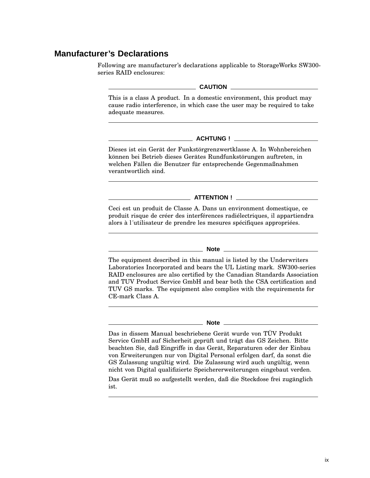## **Manufacturer's Declarations**

Following are manufacturer's declarations applicable to StorageWorks SW300 series RAID enclosures:

#### **CAUTION**

This is a class A product. In a domestic environment, this product may cause radio interference, in which case the user may be required to take adequate measures.

#### **ACHTUNG !**

Dieses ist ein Gerät der Funkstörgrenzwertklasse A. In Wohnbereichen können bei Betrieb dieses Gerätes Rundfunkstörungen auftreten, in welchen Fällen die Benutzer für entsprechende Gegenmaßnahmen verantwortlich sind.

#### **ATTENTION !**

Ceci est un produit de Classe A. Dans un environment domestique, ce produit risque de créer des interférences radiélectriques, il appartiendra alors à l´utilisateur de prendre les mesures spécifiques appropriées.

#### **Note**

The equipment described in this manual is listed by the Underwriters Laboratories Incorporated and bears the UL Listing mark. SW300-series RAID enclosures are also certified by the Canadian Standards Association and TUV Product Service GmbH and bear both the CSA certification and TUV GS marks. The equipment also complies with the requirements for CE-mark Class A.

#### **Note**

Das in dissem Manual beschriebene Gerät wurde von TÜV Produkt Service GmbH auf Sicherheit geprüft und trägt das GS Zeichen. Bitte beachten Sie, daß Eingriffe in das Gerät, Reparaturen oder der Einbau von Erweiterungen nur von Digital Personal erfolgen darf, da sonst die GS Zulassung ungültig wird. Die Zulassung wird auch ungültig, wenn nicht von Digital qualifizierte Speichererweiterungen eingebaut verden.

Das Gerät muß so aufgestellt werden, daß die Steckdose frei zugänglich ist.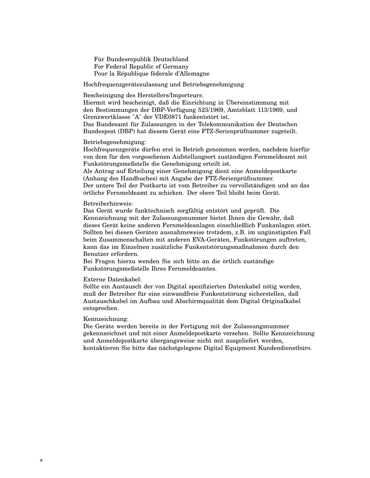Für Bundesrepublik Deutschland For Federal Republic of Germany Pour la République féderale d'Allemagne

Hochfrequenzgerätezulassung und Betriebsgenehmigung

Bescheinigung des Herstellers/Importeurs:

Hiermit wird bescheinigt, daß die Einrichtung in Übereinstimmung mit den Bestimmungen der DBP-Verfügung 523/1969, Amtsblatt 113/1969, und Grenzwertklasse "A" der VDE0871 funkentstört ist.

Das Bundesamt für Zulassungen in der Telekommunikation der Deutschen Bundespost (DBP) hat diesem Gerät eine FTZ-Serienprüfnummer zugeteilt.

#### Betriebsgenehmigung:

Hochfrequenzgeräte dürfen erst in Betrieb genommen werden, nachdem hierfür von dem für den vorgesehenen Aufstellungsort zuständigen Fernmeldeamt mit Funkstörungsmeßstelle die Genehmigung erteilt ist.

Als Antrag auf Erteilung einer Genehmigung dient eine Anmeldepostkarte (Anhang des Handbuches) mit Angabe der FTZ-Serienprüfnummer. Der untere Teil der Postkarte ist vom Betreiber zu vervollständigen und an das örtliche Fernmeldeamt zu schicken. Der obere Teil bleibt beim Gerät.

#### Betreiberhinweis:

Das Gerät wurde funktechnisch sorgfältig entstört und geprüft. Die Kennzeichnung mit der Zulassungsnummer bietet Ihnen die Gewähr, daß dieses Gerät keine anderen Fernmeldeanlagen einschließlich Funkanlagen stört. Sollten bei diesen Geräten ausnahmsweise trotzdem, z.B. im ungünstigsten Fall beim Zusammenschalten mit anderen EVA-Geräten, Funkstörungen auftreten, kann das im Einzelnen zusätzliche Funkentstörungsmaßnahmen durch den Benutzer erfordern.

Bei Fragen hierzu wenden Sie sich bitte an die örtlich zuständige Funkstörungsmeßstelle Ihres Fernmeldeamtes.

#### Externe Datenkabel:

Sollte ein Austausch der von Digital spezifizierten Datenkabel nötig werden, muß der Betreiber für eine einwandfreie Funkentstörung sicherstellen, daß Austauschkabel im Aufbau und Abschirmqualität dem Digital Originalkabel entsprechen.

#### Kennzeichnung:

Die Geräte werden bereits in der Fertigung mit der Zulassungsnummer gekennzeichnet und mit einer Anmeldepostkarte versehen. Sollte Kennzeichnung und Anmeldepostkarte übergangsweise nicht mit ausgeliefert werden, kontaktieren Sie bitte das nächstgelegene Digital Equipment Kundendienstbüro.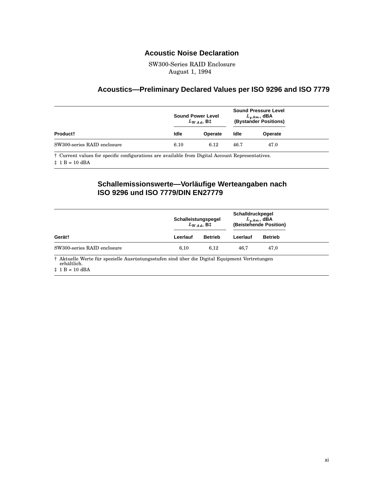### **Acoustic Noise Declaration**

SW300-Series RAID Enclosure August 1, 1994

### **Acoustics—Preliminary Declared Values per ISO 9296 and ISO 7779**

|                             |      | <b>Sound Power Level</b><br>$L_{WAA}$ , B‡ | <b>Sound Pressure Level</b><br>$L_{p,Am}$ , dBA<br>(Bystander Positions) |         |  |
|-----------------------------|------|--------------------------------------------|--------------------------------------------------------------------------|---------|--|
| Product <sup>+</sup>        | Idle | <b>Operate</b>                             | Idle                                                                     | Operate |  |
| SW300-series RAID enclosure | 6.10 | 6.12                                       | 46.7                                                                     | 47.0    |  |

† Current values for specific configurations are available from Digital Account Representatives.  $\ddagger$  1 B = 10 dBA

### **Schallemissionswerte—Vorläufige Werteangaben nach ISO 9296 und ISO 7779/DIN EN27779**

|                             | Schalleistungspegel | $L_{WAA}$ , B‡ | Schalldruckpegel<br>$L_{vAm}$ , dBA<br>(Beistehende Position) |                |
|-----------------------------|---------------------|----------------|---------------------------------------------------------------|----------------|
| Gerät†                      | Leerlauf            | <b>Betrieb</b> | Leerlauf                                                      | <b>Betrieb</b> |
| SW300-series RAID enclosure | 6.10                | 6.12           | 46.7                                                          | 47.0           |

 $\operatorname{isrustungsstufen}$  sind über die Digital Equipment Vertretungen Aktuelle werte für spe<br>erhältlich.

 $\ddagger$  1 B = 10 dBA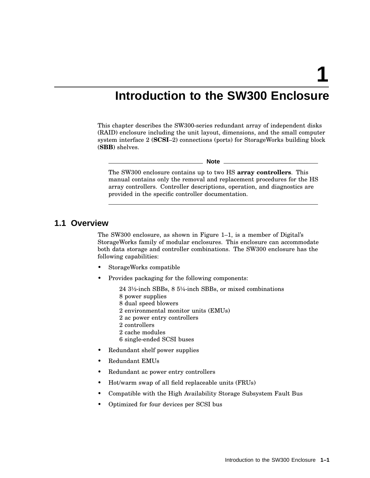**1**

# **Introduction to the SW300 Enclosure**

This chapter describes the SW300-series redundant array of independent disks (RAID) enclosure including the unit layout, dimensions, and the small computer system interface 2 (**SCSI**–2) connections (ports) for StorageWorks building block (**SBB**) shelves.

**Note**

The SW300 enclosure contains up to two HS **array controllers**. This manual contains only the removal and replacement procedures for the HS array controllers. Controller descriptions, operation, and diagnostics are provided in the specific controller documentation.

### **1.1 Overview**

The SW300 enclosure, as shown in Figure 1–1, is a member of Digital's StorageWorks family of modular enclosures. This enclosure can accommodate both data storage and controller combinations. The SW300 enclosure has the following capabilities:

- StorageWorks compatible
- Provides packaging for the following components:

24 3½-inch SBBs, 8 5¼-inch SBBs, or mixed combinations 8 power supplies

- 8 dual speed blowers
- 2 environmental monitor units (EMUs)
- 2 ac power entry controllers
- 2 controllers
- 2 cache modules
- 6 single-ended SCSI buses
- Redundant shelf power supplies
- Redundant EMUs
- Redundant ac power entry controllers
- Hot/warm swap of all field replaceable units (FRUs)
- Compatible with the High Availability Storage Subsystem Fault Bus
- Optimized for four devices per SCSI bus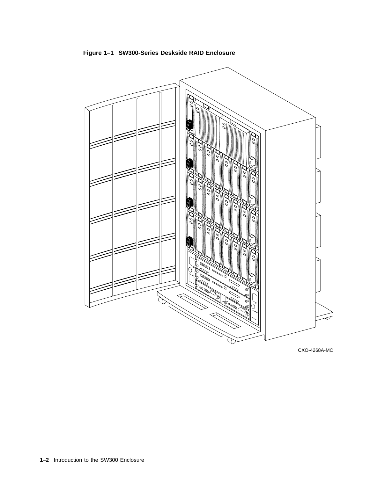**Figure 1–1 SW300-Series Deskside RAID Enclosure**



CXO-4268A-MC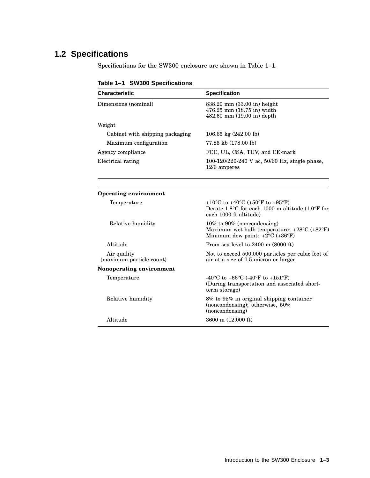# **1.2 Specifications**

Specifications for the SW300 enclosure are shown in Table 1–1.

**Characteristic Specification** Dimensions (nominal) 838.20 mm (33.00 in) height 476.25 mm (18.75 in) width 482.60 mm (19.00 in) depth Weight Cabinet with shipping packaging 106.65 kg (242.00 lb) Maximum configuration 77.85 kb (178.00 lb) Agency compliance FCC, UL, CSA, TUV, and CE-mark Electrical rating 100-120/220-240 V ac, 50/60 Hz, single phase, 12/6 amperes **Operating environment** Temperature  $+10^{\circ}\text{C}$  to  $+40^{\circ}\text{C}$  (+50°F to  $+95^{\circ}\text{F}$ ) Derate 1.8°C for each 1000 m altitude (1.0°F for each 1000 ft altitude) Relative humidity 10% to 90% (noncondensing) Maximum wet bulb temperature: +28°C (+82°F) Minimum dew point: +2°C (+36°F) Altitude From sea level to 2400 m (8000 ft) Air quality (maximum particle count) Not to exceed 500,000 particles per cubic foot of air at a size of 0.5 micron or larger **Nonoperating environment** Temperature  $-40^{\circ}\text{C}$  to  $+66^{\circ}\text{C}$  (-40°F to  $+151^{\circ}\text{F}$ ) (During transportation and associated shortterm storage) Relative humidity 8% to 95% in original shipping container (noncondensing); otherwise, 50% (noncondensing) Altitude 3600 m (12,000 ft)

**Table 1–1 SW300 Specifications**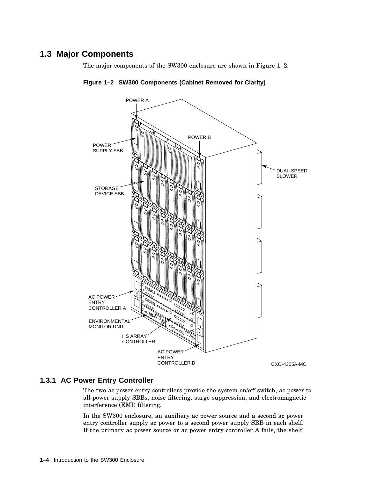# **1.3 Major Components**

The major components of the SW300 enclosure are shown in Figure 1–2.





### **1.3.1 AC Power Entry Controller**

The two ac power entry controllers provide the system on/off switch, ac power to all power supply SBBs, noise filtering, surge suppression, and electromagnetic interference (EMI) filtering.

In the SW300 enclosure, an auxiliary ac power source and a second ac power entry controller supply ac power to a second power supply SBB in each shelf. If the primary ac power source or ac power entry controller A fails, the shelf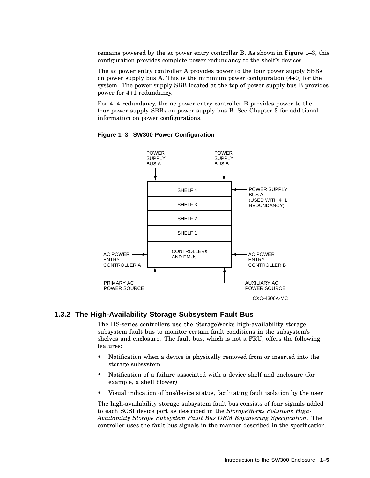remains powered by the ac power entry controller B. As shown in Figure 1–3, this configuration provides complete power redundancy to the shelf's devices.

The ac power entry controller A provides power to the four power supply SBBs on power supply bus A. This is the minimum power configuration  $(4+0)$  for the system. The power supply SBB located at the top of power supply bus B provides power for 4+1 redundancy.

For 4+4 redundancy, the ac power entry controller B provides power to the four power supply SBBs on power supply bus B. See Chapter 3 for additional information on power configurations.



#### **Figure 1–3 SW300 Power Configuration**

#### **1.3.2 The High-Availability Storage Subsystem Fault Bus**

The HS-series controllers use the StorageWorks high-availability storage subsystem fault bus to monitor certain fault conditions in the subsystem's shelves and enclosure. The fault bus, which is not a FRU, offers the following features:

- Notification when a device is physically removed from or inserted into the storage subsystem
- Notification of a failure associated with a device shelf and enclosure (for example, a shelf blower)
- Visual indication of bus/device status, facilitating fault isolation by the user

The high-availability storage subsystem fault bus consists of four signals added to each SCSI device port as described in the *StorageWorks Solutions High-Availability Storage Subsystem Fault Bus OEM Engineering Specification*. The controller uses the fault bus signals in the manner described in the specification.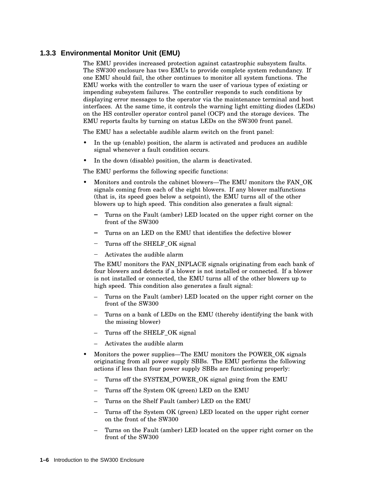### **1.3.3 Environmental Monitor Unit (EMU)**

The EMU provides increased protection against catastrophic subsystem faults. The SW300 enclosure has two EMUs to provide complete system redundancy. If one EMU should fail, the other continues to monitor all system functions. The EMU works with the controller to warn the user of various types of existing or impending subsystem failures. The controller responds to such conditions by displaying error messages to the operator via the maintenance terminal and host interfaces. At the same time, it controls the warning light emitting diodes (LEDs) on the HS controller operator control panel (OCP) and the storage devices. The EMU reports faults by turning on status LEDs on the SW300 front panel.

The EMU has a selectable audible alarm switch on the front panel:

- In the up (enable) position, the alarm is activated and produces an audible signal whenever a fault condition occurs.
- In the down (disable) position, the alarm is deactivated.

The EMU performs the following specific functions:

- Monitors and controls the cabinet blowers—The EMU monitors the FAN\_OK signals coming from each of the eight blowers. If any blower malfunctions (that is, its speed goes below a setpoint), the EMU turns all of the other blowers up to high speed. This condition also generates a fault signal:
	- $\frac{1}{2}$ Turns on the Fault (amber) LED located on the upper right corner on the front of the SW300
	- Turns on an LED on the EMU that identifies the defective blower
	- Turns off the SHELF\_OK signal
	- Activates the audible alarm

The EMU monitors the FAN\_INPLACE signals originating from each bank of four blowers and detects if a blower is not installed or connected. If a blower is not installed or connected, the EMU turns all of the other blowers up to high speed. This condition also generates a fault signal:

- Turns on the Fault (amber) LED located on the upper right corner on the front of the SW300
- Turns on a bank of LEDs on the EMU (thereby identifying the bank with the missing blower)
- Turns off the SHELF OK signal
- Activates the audible alarm
- Monitors the power supplies—The EMU monitors the POWER\_OK signals originating from all power supply SBBs. The EMU performs the following actions if less than four power supply SBBs are functioning properly:
	- Turns off the SYSTEM\_POWER\_OK signal going from the EMU
	- Turns off the System OK (green) LED on the EMU
	- Turns on the Shelf Fault (amber) LED on the EMU
	- Turns off the System OK (green) LED located on the upper right corner on the front of the SW300
	- Turns on the Fault (amber) LED located on the upper right corner on the front of the SW300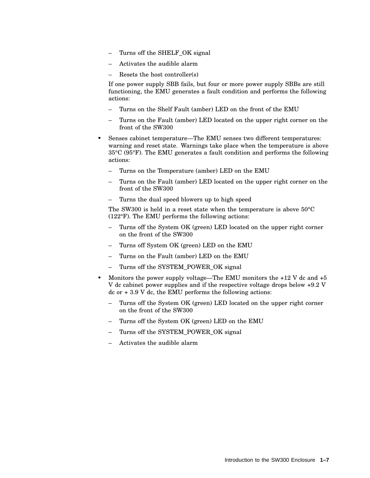- Turns off the SHELF OK signal
- Activates the audible alarm
- Resets the host controller(s)

If one power supply SBB fails, but four or more power supply SBBs are still functioning, the EMU generates a fault condition and performs the following actions:

- Turns on the Shelf Fault (amber) LED on the front of the EMU
- Turns on the Fault (amber) LED located on the upper right corner on the front of the SW300
- Senses cabinet temperature—The EMU senses two different temperatures: warning and reset state. Warnings take place when the temperature is above 35°C (95°F). The EMU generates a fault condition and performs the following actions:
	- Turns on the Temperature (amber) LED on the EMU
	- Turns on the Fault (amber) LED located on the upper right corner on the front of the SW300
	- Turns the dual speed blowers up to high speed

The SW300 is held in a reset state when the temperature is above 50°C (122°F). The EMU performs the following actions:

- Turns off the System OK (green) LED located on the upper right corner on the front of the SW300
- Turns off System OK (green) LED on the EMU
- Turns on the Fault (amber) LED on the EMU
- Turns off the SYSTEM\_POWER\_OK signal
- Monitors the power supply voltage—The EMU monitors the  $+12$  V dc and  $+5$ V dc cabinet power supplies and if the respective voltage drops below +9.2 V dc or  $+3.9$  V dc, the EMU performs the following actions:
	- Turns off the System OK (green) LED located on the upper right corner on the front of the SW300
	- Turns off the System OK (green) LED on the EMU
	- Turns off the SYSTEM\_POWER\_OK signal
	- Activates the audible alarm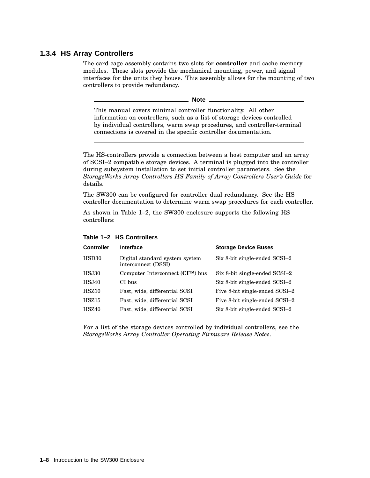### **1.3.4 HS Array Controllers**

The card cage assembly contains two slots for **controller** and cache memory modules. These slots provide the mechanical mounting, power, and signal interfaces for the units they house. This assembly allows for the mounting of two controllers to provide redundancy.

**Note**

This manual covers minimal controller functionality. All other information on controllers, such as a list of storage devices controlled by individual controllers, warm swap procedures, and controller-terminal connections is covered in the specific controller documentation.

The HS-controllers provide a connection between a host computer and an array of SCSI–2 compatible storage devices. A terminal is plugged into the controller during subsystem installation to set initial controller parameters. See the *StorageWorks Array Controllers HS Family of Array Controllers User's Guide* for details.

The SW300 can be configured for controller dual redundancy. See the HS controller documentation to determine warm swap procedures for each controller.

As shown in Table 1–2, the SW300 enclosure supports the following HS controllers:

| <b>Controller</b> | <b>Interface</b>                                      | <b>Storage Device Buses</b>    |
|-------------------|-------------------------------------------------------|--------------------------------|
| HSD <sub>30</sub> | Digital standard system system<br>interconnect (DSSI) | Six 8-bit single-ended SCSI-2  |
| <b>HSJ30</b>      | Computer Interconnect $(CITM)$ bus                    | Six 8-bit single-ended SCSI-2  |
| <b>HSJ40</b>      | CI bus                                                | Six 8-bit single-ended SCSI-2  |
| HSZ10             | Fast, wide, differential SCSI                         | Five 8-bit single-ended SCSI-2 |
| HSZ15             | Fast, wide, differential SCSI                         | Five 8-bit single-ended SCSI-2 |
| <b>HSZ40</b>      | Fast, wide, differential SCSI                         | Six 8-bit single-ended SCSI-2  |

**Table 1–2 HS Controllers**

For a list of the storage devices controlled by individual controllers, see the *StorageWorks Array Controller Operating Firmware Release Notes*.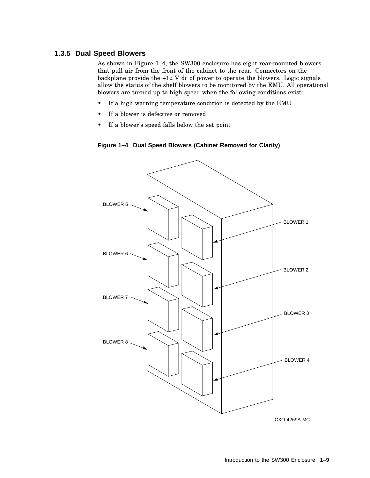### **1.3.5 Dual Speed Blowers**

As shown in Figure 1–4, the SW300 enclosure has eight rear-mounted blowers that pull air from the front of the cabinet to the rear. Connectors on the backplane provide the +12 V dc of power to operate the blowers. Logic signals allow the status of the shelf blowers to be monitored by the EMU. All operational blowers are turned up to high speed when the following conditions exist:

- If a high warning temperature condition is detected by the EMU
- If a blower is defective or removed
- If a blower's speed falls below the set point





CXO-4269A-MC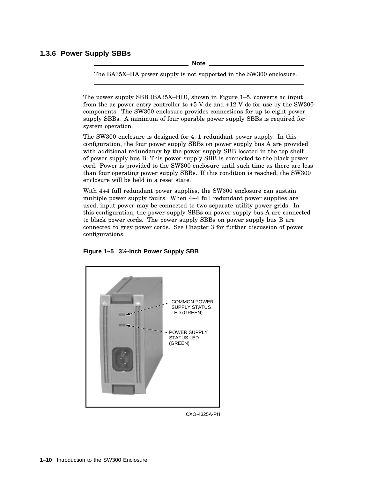### **1.3.6 Power Supply SBBs**

**Note**

The BA35X–HA power supply is not supported in the SW300 enclosure.

The power supply SBB (BA35X–HD), shown in Figure 1–5, converts ac input from the ac power entry controller to +5 V dc and +12 V dc for use by the SW300 components. The SW300 enclosure provides connections for up to eight power supply SBBs. A minimum of four operable power supply SBBs is required for system operation.

The SW300 enclosure is designed for 4+1 redundant power supply. In this configuration, the four power supply SBBs on power supply bus A are provided with additional redundancy by the power supply SBB located in the top shelf of power supply bus B. This power supply SBB is connected to the black power cord. Power is provided to the SW300 enclosure until such time as there are less than four operating power supply SBBs. If this condition is reached, the SW300 enclosure will be held in a reset state.

With 4+4 full redundant power supplies, the SW300 enclosure can sustain multiple power supply faults. When 4+4 full redundant power supplies are used, input power may be connected to two separate utility power grids. In this configuration, the power supply SBBs on power supply bus A are connected to black power cords. The power supply SBBs on power supply bus B are connected to grey power cords. See Chapter 3 for further discussion of power configurations.



**Figure 1–5 3½-Inch Power Supply SBB**

CXO-4325A-PH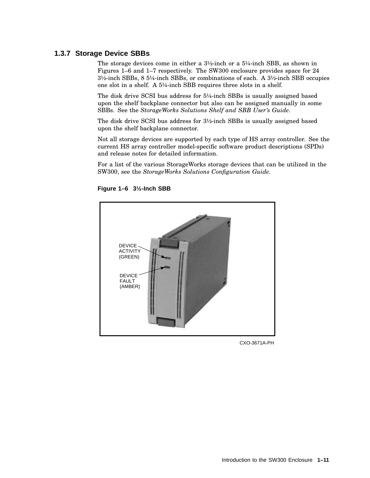### **1.3.7 Storage Device SBBs**

The storage devices come in either a  $3\frac{1}{2}$ -inch or a  $5\frac{1}{4}$ -inch SBB, as shown in Figures 1–6 and 1–7 respectively. The SW300 enclosure provides space for 24 3½-inch SBBs, 8 5¼-inch SBBs, or combinations of each. A 3½-inch SBB occupies one slot in a shelf. A 5¼-inch SBB requires three slots in a shelf.

The disk drive SCSI bus address for 5¼-inch SBBs is usually assigned based upon the shelf backplane connector but also can be assigned manually in some SBBs. See the *StorageWorks Solutions Shelf and SBB User's Guide*.

The disk drive SCSI bus address for  $3\frac{1}{2}$ -inch SBBs is usually assigned based upon the shelf backplane connector.

Not all storage devices are supported by each type of HS array controller. See the current HS array controller model-specific software product descriptions (SPDs) and release notes for detailed information.

For a list of the various StorageWorks storage devices that can be utilized in the SW300, see the *StorageWorks Solutions Configuration Guide*.



**Figure 1–6 3½-Inch SBB**

CXO-3671A-PH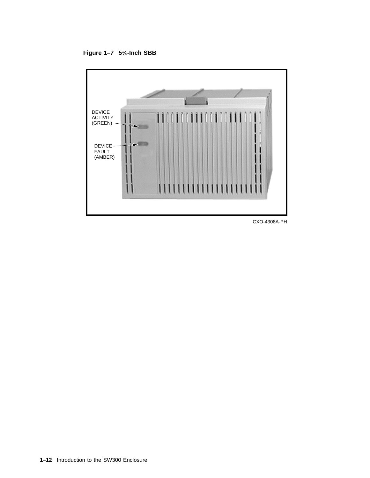**Figure 1–7 5¼-Inch SBB**



CXO-4308A-PH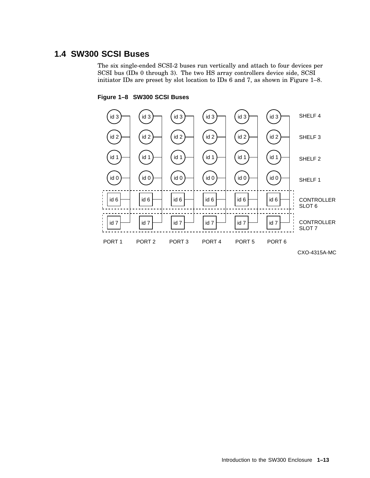# **1.4 SW300 SCSI Buses**

The six single-ended SCSI-2 buses run vertically and attach to four devices per SCSI bus (IDs 0 through 3). The two HS array controllers device side, SCSI initiator IDs are preset by slot location to IDs 6 and 7, as shown in Figure 1–8.

#### **Figure 1–8 SW300 SCSI Buses**



CXO-4315A-MC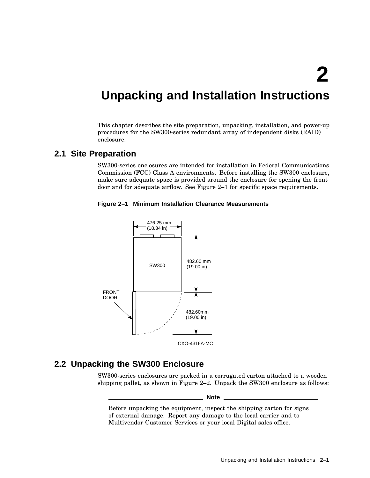# **Unpacking and Installation Instructions**

This chapter describes the site preparation, unpacking, installation, and power-up procedures for the SW300-series redundant array of independent disks (RAID) enclosure.

## **2.1 Site Preparation**

SW300-series enclosures are intended for installation in Federal Communications Commission (FCC) Class A environments. Before installing the SW300 enclosure, make sure adequate space is provided around the enclosure for opening the front door and for adequate airflow. See Figure 2–1 for specific space requirements.





# **2.2 Unpacking the SW300 Enclosure**

SW300-series enclosures are packed in a corrugated carton attached to a wooden shipping pallet, as shown in Figure 2–2. Unpack the SW300 enclosure as follows:

**Note**

Before unpacking the equipment, inspect the shipping carton for signs of external damage. Report any damage to the local carrier and to Multivendor Customer Services or your local Digital sales office.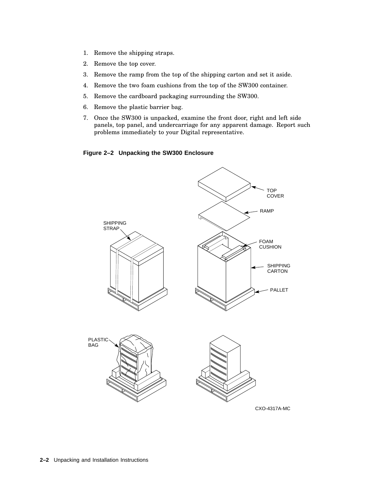- 1. Remove the shipping straps.
- 2. Remove the top cover.
- 3. Remove the ramp from the top of the shipping carton and set it aside.
- 4. Remove the two foam cushions from the top of the SW300 container.
- 5. Remove the cardboard packaging surrounding the SW300.
- 6. Remove the plastic barrier bag.
- 7. Once the SW300 is unpacked, examine the front door, right and left side panels, top panel, and undercarriage for any apparent damage. Report such problems immediately to your Digital representative.



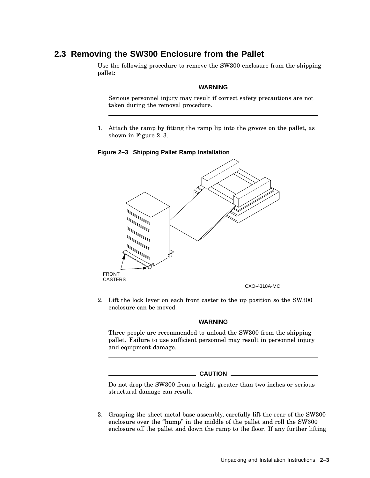## **2.3 Removing the SW300 Enclosure from the Pallet**

Use the following procedure to remove the SW300 enclosure from the shipping pallet:

#### **WARNING**

Serious personnel injury may result if correct safety precautions are not taken during the removal procedure.

1. Attach the ramp by fitting the ramp lip into the groove on the pallet, as shown in Figure 2–3.

**Figure 2–3 Shipping Pallet Ramp Installation**



2. Lift the lock lever on each front caster to the up position so the SW300 enclosure can be moved.

#### **WARNING**

Three people are recommended to unload the SW300 from the shipping pallet. Failure to use sufficient personnel may result in personnel injury and equipment damage.

# **CAUTION**

Do not drop the SW300 from a height greater than two inches or serious structural damage can result.

3. Grasping the sheet metal base assembly, carefully lift the rear of the SW300 enclosure over the "hump" in the middle of the pallet and roll the SW300 enclosure off the pallet and down the ramp to the floor. If any further lifting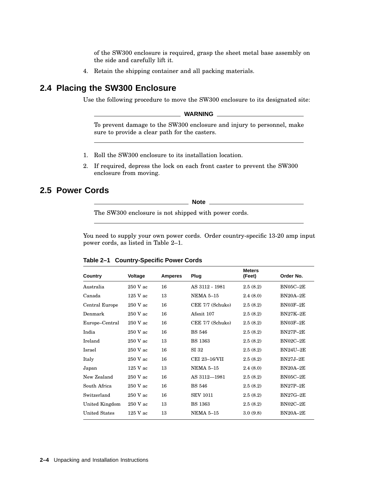of the SW300 enclosure is required, grasp the sheet metal base assembly on the side and carefully lift it.

4. Retain the shipping container and all packing materials.

# **2.4 Placing the SW300 Enclosure**

Use the following procedure to move the SW300 enclosure to its designated site:

**WARNING**

To prevent damage to the SW300 enclosure and injury to personnel, make sure to provide a clear path for the casters.

- 1. Roll the SW300 enclosure to its installation location.
- 2. If required, depress the lock on each front caster to prevent the SW300 enclosure from moving.

# **2.5 Power Cords**

**Note**

The SW300 enclosure is not shipped with power cords.

You need to supply your own power cords. Order country-specific 13-20 amp input power cords, as listed in Table 2–1.

| Country              | Voltage    | <b>Amperes</b> | Plug             | <b>Meters</b><br>(Feet) | Order No.       |
|----------------------|------------|----------------|------------------|-------------------------|-----------------|
| Australia            | $250$ V ac | 16             | AS 3112 - 1981   | 2.5(8.2)                | $BN05C-2E$      |
| Canada               | 125 V ac   | 13             | <b>NEMA 5-15</b> | 2.4(8.0)                | $BN20A-2E$      |
| Central Europe       | $250$ V ac | 16             | CEE 7/7 (Schuko) | 2.5(8.2)                | BN03F-2E        |
| Denmark              | 250 V ac   | 16             | Afsnit 107       | 2.5(8.2)                | <b>BN27K-2E</b> |
| Europe-Central       | $250$ V ac | 16             | CEE 7/7 (Schuko) | 2.5(8.2)                | $BN03F-2E$      |
| India                | 250 V ac   | 16             | <b>BS</b> 546    | 2.5(8.2)                | <b>BN27P-2E</b> |
| Ireland              | 250 V ac   | 13             | <b>BS</b> 1363   | 2.5(8.2)                | $BN02C-2E$      |
| Israel               | $250$ V ac | 16             | SI 32            | 2.5(8.2)                | <b>BN24U-2E</b> |
| Italy                | 250 V ac   | 16             | CEI 23-16/VII    | 2.5(8.2)                | $BN27J-2E$      |
| Japan                | $125$ V ac | 13             | <b>NEMA 5-15</b> | 2.4(8.0)                | $BN20A-2E$      |
| New Zealand          | $250$ V ac | 16             | AS 3112-1981     | 2.5(8.2)                | $BN05C-2E$      |
| South Africa         | 250 V ac   | 16             | BS 546           | 2.5(8.2)                | $BN27P-2E$      |
| Switzerland          | $250$ V ac | 16             | <b>SEV 1011</b>  | 2.5(8.2)                | $BN27G-2E$      |
| United Kingdom       | 250 V ac   | 13             | <b>BS</b> 1363   | 2.5(8.2)                | $BN02C-2E$      |
| <b>United States</b> | $125$ V ac | 13             | <b>NEMA 5-15</b> | 3.0(9.8)                | $BN20A-2E$      |

| Table 2-1 Country-Specific Power Cords |  |  |  |  |
|----------------------------------------|--|--|--|--|
|----------------------------------------|--|--|--|--|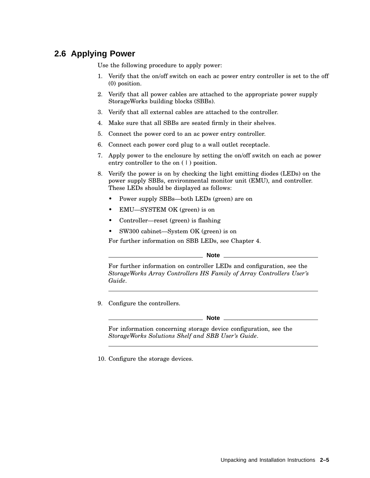# **2.6 Applying Power**

Use the following procedure to apply power:

- 1. Verify that the on/off switch on each ac power entry controller is set to the off (0) position.
- 2. Verify that all power cables are attached to the appropriate power supply StorageWorks building blocks (SBBs).
- 3. Verify that all external cables are attached to the controller.
- 4. Make sure that all SBBs are seated firmly in their shelves.
- 5. Connect the power cord to an ac power entry controller.
- 6. Connect each power cord plug to a wall outlet receptacle.
- 7. Apply power to the enclosure by setting the on/off switch on each ac power entry controller to the on  $(1)$  position.
- 8. Verify the power is on by checking the light emitting diodes (LEDs) on the power supply SBBs, environmental monitor unit (EMU), and controller. These LEDs should be displayed as follows:
	- Power supply SBBs—both LEDs (green) are on
	- EMU—SYSTEM OK (green) is on
	- Controller—reset (green) is flashing
	- SW300 cabinet—System OK (green) is on

For further information on SBB LEDs, see Chapter 4.

**Note**

For further information on controller LEDs and configuration, see the *StorageWorks Array Controllers HS Family of Array Controllers User's Guide*.

9. Configure the controllers.

**Note**

For information concerning storage device configuration, see the *StorageWorks Solutions Shelf and SBB User's Guide*.

10. Configure the storage devices.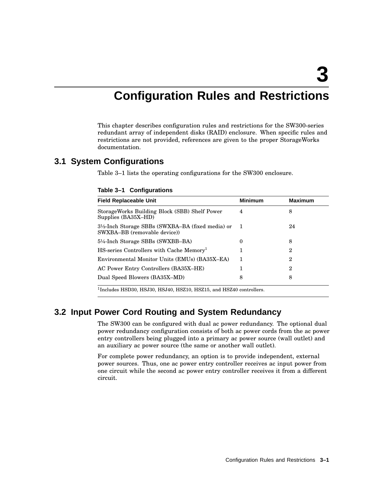**3**

# **Configuration Rules and Restrictions**

This chapter describes configuration rules and restrictions for the SW300-series redundant array of independent disks (RAID) enclosure. When specific rules and restrictions are not provided, references are given to the proper StorageWorks documentation.

### **3.1 System Configurations**

Table 3–1 lists the operating configurations for the SW300 enclosure.

| Table 3-1 Configurations |
|--------------------------|
|--------------------------|

| <b>Field Replaceable Unit</b>                                                   | <b>Minimum</b> | <b>Maximum</b> |
|---------------------------------------------------------------------------------|----------------|----------------|
| StorageWorks Building Block (SBB) Shelf Power<br>Supplies (BA35X-HD)            | 4              | 8              |
| 3½-Inch Storage SBBs (SWXBA–BA (fixed media) or<br>SWXBA-BB (removable device)) | $\blacksquare$ | 24             |
| 5¼-Inch Storage SBBs (SWXBB-BA)                                                 | 0              | 8              |
| HS-series Controllers with Cache Memory <sup>1</sup>                            |                | $\overline{2}$ |
| Environmental Monitor Units (EMUs) (BA35X-EA)                                   | 1              | $\overline{2}$ |
| AC Power Entry Controllers (BA35X-HE)                                           | 1              | $\overline{2}$ |
| Dual Speed Blowers (BA35X-MD)                                                   | 8              | 8              |

<sup>1</sup>Includes HSD30, HSJ30, HSJ40, HSZ10, HSZ15, and HSZ40 controllers.

### **3.2 Input Power Cord Routing and System Redundancy**

The SW300 can be configured with dual ac power redundancy. The optional dual power redundancy configuration consists of both ac power cords from the ac power entry controllers being plugged into a primary ac power source (wall outlet) and an auxiliary ac power source (the same or another wall outlet).

For complete power redundancy, an option is to provide independent, external power sources. Thus, one ac power entry controller receives ac input power from one circuit while the second ac power entry controller receives it from a different circuit.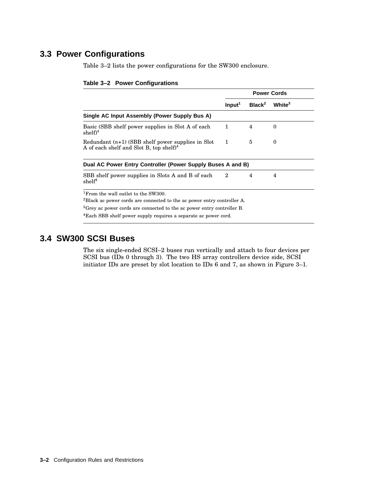# **3.3 Power Configurations**

Table 3–2 lists the power configurations for the SW300 enclosure.

|                                                                                                                                                                                                                    |                    |                    | <b>Power Cords</b> |
|--------------------------------------------------------------------------------------------------------------------------------------------------------------------------------------------------------------------|--------------------|--------------------|--------------------|
|                                                                                                                                                                                                                    | Input <sup>1</sup> | Black <sup>2</sup> | White <sup>3</sup> |
| Single AC Input Assembly (Power Supply Bus A)                                                                                                                                                                      |                    |                    |                    |
| Basic (SBB shelf power supplies in Slot A of each<br>$shelf)^4$                                                                                                                                                    | $\mathbf{1}$       | 4                  | $\Omega$           |
| Redundant $(n+1)$ (SBB shelf power supplies in Slot<br>A of each shelf and Slot B, top shelf $)^4$                                                                                                                 | $\mathbf{1}$       | 5                  | $\theta$           |
| Dual AC Power Entry Controller (Power Supply Buses A and B)                                                                                                                                                        |                    |                    |                    |
| SBB shelf power supplies in Slots A and B of each<br>shelf <sup>4</sup>                                                                                                                                            | $\mathbf 2$        | 4                  | 4                  |
| <sup>1</sup> From the wall outlet to the SW300.<br>$^{2}$ Black ac power cords are connected to the ac power entry controller A.<br>${}^{3}$ Grey ac power cords are connected to the ac power entry controller B. |                    |                    |                    |
| <sup>4</sup> Each SBB shelf power supply requires a separate ac power cord.                                                                                                                                        |                    |                    |                    |

#### **Table 3–2 Power Configurations**

# **3.4 SW300 SCSI Buses**

The six single-ended SCSI–2 buses run vertically and attach to four devices per SCSI bus (IDs 0 through 3). The two HS array controllers device side, SCSI initiator IDs are preset by slot location to IDs 6 and 7, as shown in Figure 3–1.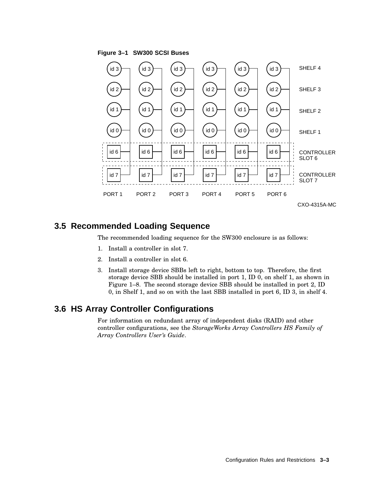

# **3.5 Recommended Loading Sequence**

The recommended loading sequence for the SW300 enclosure is as follows:

- 1. Install a controller in slot 7.
- 2. Install a controller in slot 6.
- 3. Install storage device SBBs left to right, bottom to top. Therefore, the first storage device SBB should be installed in port 1, ID 0, on shelf 1, as shown in Figure 1–8. The second storage device SBB should be installed in port 2, ID 0, in Shelf 1, and so on with the last SBB installed in port 6, ID 3, in shelf 4.

### **3.6 HS Array Controller Configurations**

For information on redundant array of independent disks (RAID) and other controller configurations, see the *StorageWorks Array Controllers HS Family of Array Controllers User's Guide*.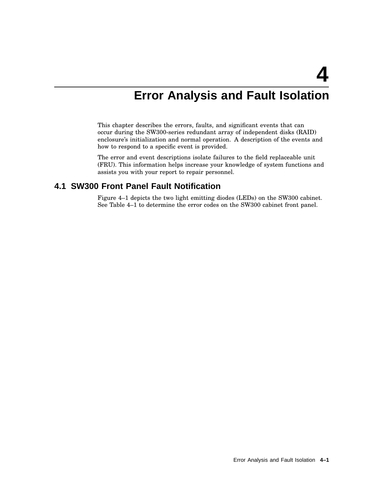# **Error Analysis and Fault Isolation**

This chapter describes the errors, faults, and significant events that can occur during the SW300-series redundant array of independent disks (RAID) enclosure's initialization and normal operation. A description of the events and how to respond to a specific event is provided.

The error and event descriptions isolate failures to the field replaceable unit (FRU). This information helps increase your knowledge of system functions and assists you with your report to repair personnel.

### **4.1 SW300 Front Panel Fault Notification**

Figure 4–1 depicts the two light emitting diodes (LEDs) on the SW300 cabinet. See Table 4–1 to determine the error codes on the SW300 cabinet front panel.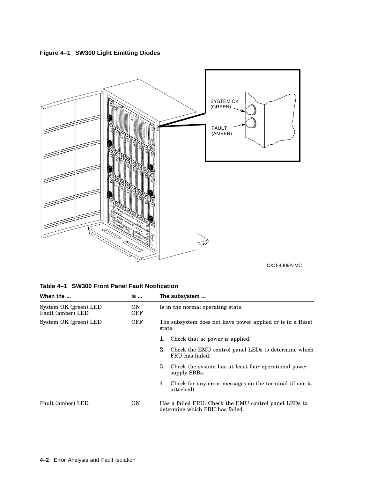**Figure 4–1 SW300 Light Emitting Diodes**



CXO-4309A-MC

| When the                                   | ls                | The subsystem                                                                            |
|--------------------------------------------|-------------------|------------------------------------------------------------------------------------------|
| System OK (green) LED<br>Fault (amber) LED | ON.<br><b>OFF</b> | Is in the normal operating state.                                                        |
| System OK (green) LED                      | <b>OFF</b>        | The subsystem does not have power applied or is in a Reset<br>state.                     |
|                                            |                   | Check that ac power is applied.<br>ı.                                                    |
|                                            |                   | 2. Check the EMU control panel LEDs to determine which<br>FRU has failed.                |
|                                            |                   | 3.<br>Check the system has at least four operational power<br>supply SBBs.               |
|                                            |                   | 4. Check for any error messages on the terminal (if one is<br>attached)                  |
| Fault (amber) LED                          | <b>ON</b>         | Has a failed FRU. Check the EMU control panel LEDs to<br>determine which FRU has failed. |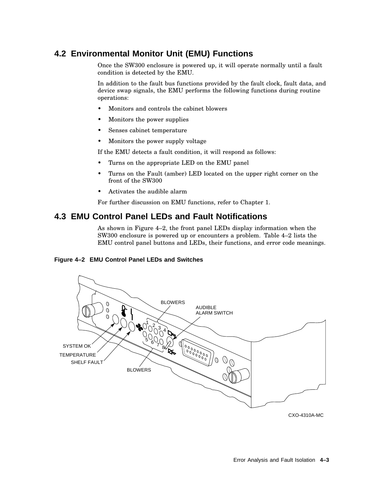# **4.2 Environmental Monitor Unit (EMU) Functions**

Once the SW300 enclosure is powered up, it will operate normally until a fault condition is detected by the EMU.

In addition to the fault bus functions provided by the fault clock, fault data, and device swap signals, the EMU performs the following functions during routine operations:

- Monitors and controls the cabinet blowers
- Monitors the power supplies
- Senses cabinet temperature
- Monitors the power supply voltage

If the EMU detects a fault condition, it will respond as follows:

- Turns on the appropriate LED on the EMU panel
- Turns on the Fault (amber) LED located on the upper right corner on the front of the SW300
- Activates the audible alarm

For further discussion on EMU functions, refer to Chapter 1.

### **4.3 EMU Control Panel LEDs and Fault Notifications**

As shown in Figure 4–2, the front panel LEDs display information when the SW300 enclosure is powered up or encounters a problem. Table 4–2 lists the EMU control panel buttons and LEDs, their functions, and error code meanings.

#### **Figure 4–2 EMU Control Panel LEDs and Switches**



CXO-4310A-MC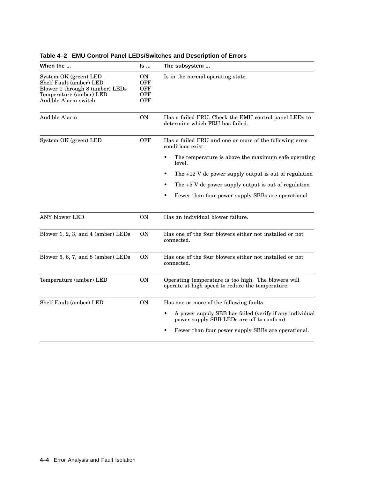| When the                                                                                                                               | Is                                                  | The subsystem                                                                                                     |
|----------------------------------------------------------------------------------------------------------------------------------------|-----------------------------------------------------|-------------------------------------------------------------------------------------------------------------------|
| System OK (green) LED<br>Shelf Fault (amber) LED<br>Blower 1 through 8 (amber) LEDs<br>Temperature (amber) LED<br>Audible Alarm switch | <b>ON</b><br><b>OFF</b><br>OFF<br>OFF<br><b>OFF</b> | Is in the normal operating state.                                                                                 |
| Audible Alarm                                                                                                                          | <b>ON</b>                                           | Has a failed FRU. Check the EMU control panel LEDs to<br>determine which FRU has failed.                          |
| System OK (green) LED                                                                                                                  | <b>OFF</b>                                          | Has a failed FRU and one or more of the following error<br>conditions exist:                                      |
|                                                                                                                                        |                                                     | The temperature is above the maximum safe operating<br>٠<br>level.                                                |
|                                                                                                                                        |                                                     | The $+12$ V dc power supply output is out of regulation                                                           |
|                                                                                                                                        |                                                     | The $+5$ V dc power supply output is out of regulation                                                            |
|                                                                                                                                        |                                                     | Fewer than four power supply SBBs are operational<br>٠                                                            |
| ANY blower LED                                                                                                                         | ON                                                  | Has an individual blower failure.                                                                                 |
| Blower $1, 2, 3$ , and $4$ (amber) LEDs                                                                                                | <b>ON</b>                                           | Has one of the four blowers either not installed or not<br>connected.                                             |
| Blower 5, 6, 7, and 8 (amber) LEDs                                                                                                     | ON                                                  | Has one of the four blowers either not installed or not<br>connected.                                             |
| Temperature (amber) LED                                                                                                                | <b>ON</b>                                           | Operating temperature is too high. The blowers will<br>operate at high speed to reduce the temperature.           |
| Shelf Fault (amber) LED                                                                                                                | <b>ON</b>                                           | Has one or more of the following faults:                                                                          |
|                                                                                                                                        |                                                     | A power supply SBB has failed (verify if any individual<br>$\bullet$<br>power supply SBB LEDs are off to confirm) |
|                                                                                                                                        |                                                     | Fewer than four power supply SBBs are operational.                                                                |

### **Table 4–2 EMU Control Panel LEDs/Switches and Description of Errors**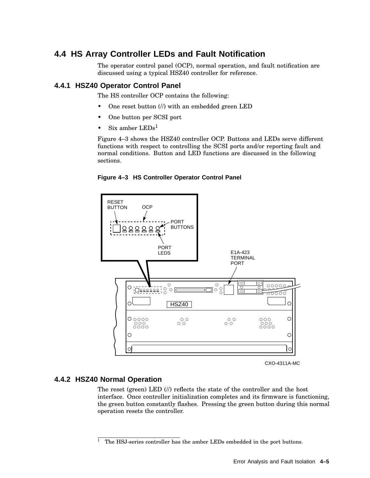# **4.4 HS Array Controller LEDs and Fault Notification**

The operator control panel (OCP), normal operation, and fault notification are discussed using a typical HSZ40 controller for reference.

### **4.4.1 HSZ40 Operator Control Panel**

The HS controller OCP contains the following:

- One reset button (//) with an embedded green LED
- One button per SCSI port
- $Six$  amber  $LEDs<sup>1</sup>$

Figure 4–3 shows the HSZ40 controller OCP. Buttons and LEDs serve different functions with respect to controlling the SCSI ports and/or reporting fault and normal conditions. Button and LED functions are discussed in the following sections.

**Figure 4–3 HS Controller Operator Control Panel**



CXO-4311A-MC

### **4.4.2 HSZ40 Normal Operation**

The reset (green) LED (//) reflects the state of the controller and the host interface. Once controller initialization completes and its firmware is functioning, the green button constantly flashes. Pressing the green button during this normal operation resets the controller.

 $1$  The HSJ-series controller has the amber LEDs embedded in the port buttons.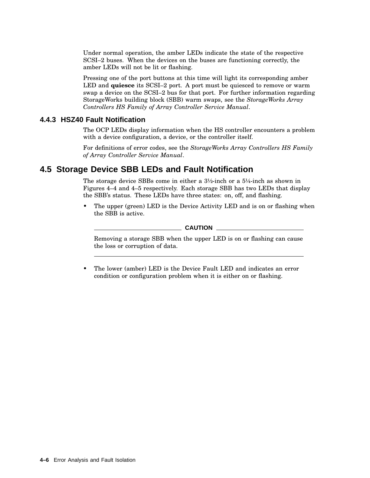Under normal operation, the amber LEDs indicate the state of the respective SCSI–2 buses. When the devices on the buses are functioning correctly, the amber LEDs will not be lit or flashing.

Pressing one of the port buttons at this time will light its corresponding amber LED and **quiesce** its SCSI–2 port. A port must be quiesced to remove or warm swap a device on the SCSI–2 bus for that port. For further information regarding StorageWorks building block (SBB) warm swaps, see the *StorageWorks Array Controllers HS Family of Array Controller Service Manual*.

### **4.4.3 HSZ40 Fault Notification**

The OCP LEDs display information when the HS controller encounters a problem with a device configuration, a device, or the controller itself.

For definitions of error codes, see the *StorageWorks Array Controllers HS Family of Array Controller Service Manual*.

### **4.5 Storage Device SBB LEDs and Fault Notification**

The storage device SBBs come in either a  $3\frac{1}{2}$ -inch or a  $5\frac{1}{4}$ -inch as shown in Figures 4–4 and 4–5 respectively. Each storage SBB has two LEDs that display the SBB's status. These LEDs have three states: on, off, and flashing.

The upper (green) LED is the Device Activity LED and is on or flashing when the SBB is active.

#### $\_$  CAUTION  $\_$

Removing a storage SBB when the upper LED is on or flashing can cause the loss or corruption of data.

• The lower (amber) LED is the Device Fault LED and indicates an error condition or configuration problem when it is either on or flashing.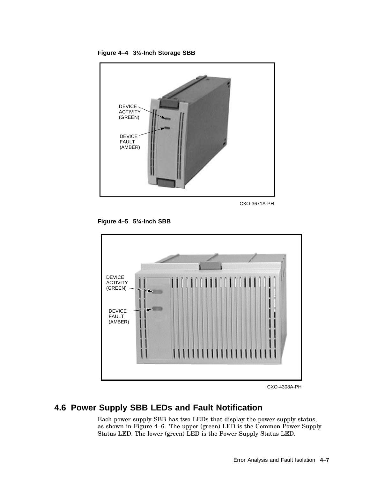

CXO-3671A-PH

**Figure 4–5 5¼-Inch SBB**

**Figure 4–4 3½-Inch Storage SBB**



CXO-4308A-PH

# **4.6 Power Supply SBB LEDs and Fault Notification**

Each power supply SBB has two LEDs that display the power supply status, as shown in Figure 4–6. The upper (green) LED is the Common Power Supply Status LED. The lower (green) LED is the Power Supply Status LED.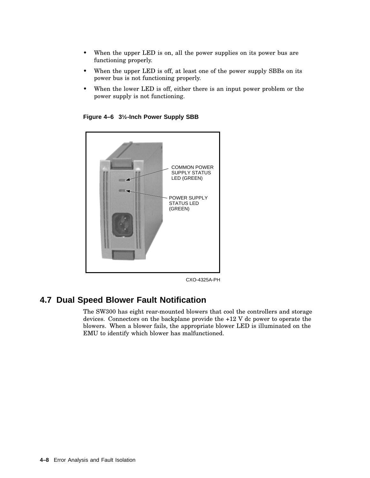- When the upper LED is on, all the power supplies on its power bus are functioning properly.
- When the upper LED is off, at least one of the power supply SBBs on its power bus is not functioning properly.
- When the lower LED is off, either there is an input power problem or the power supply is not functioning.

**Figure 4–6 3½-Inch Power Supply SBB**



CXO-4325A-PH

# **4.7 Dual Speed Blower Fault Notification**

The SW300 has eight rear-mounted blowers that cool the controllers and storage devices. Connectors on the backplane provide the +12 V dc power to operate the blowers. When a blower fails, the appropriate blower LED is illuminated on the EMU to identify which blower has malfunctioned.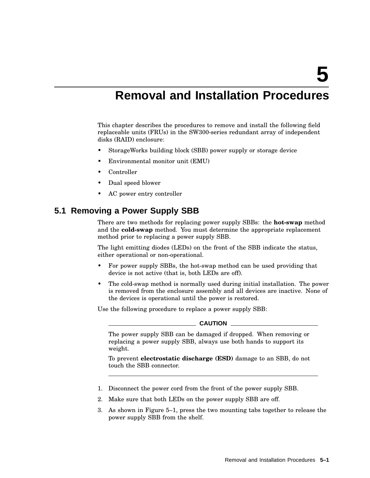# **Removal and Installation Procedures**

This chapter describes the procedures to remove and install the following field replaceable units (FRUs) in the SW300-series redundant array of independent disks (RAID) enclosure:

- StorageWorks building block (SBB) power supply or storage device
- Environmental monitor unit (EMU)
- Controller
- Dual speed blower
- AC power entry controller

### **5.1 Removing a Power Supply SBB**

There are two methods for replacing power supply SBBs: the **hot-swap** method and the **cold-swap** method. You must determine the appropriate replacement method prior to replacing a power supply SBB.

The light emitting diodes (LEDs) on the front of the SBB indicate the status, either operational or non-operational.

- For power supply SBBs, the hot-swap method can be used providing that device is not active (that is, both LEDs are off).
- The cold-swap method is normally used during initial installation. The power is removed from the enclosure assembly and all devices are inactive. None of the devices is operational until the power is restored.

Use the following procedure to replace a power supply SBB:

#### **CAUTION**

The power supply SBB can be damaged if dropped. When removing or replacing a power supply SBB, always use both hands to support its weight.

To prevent **electrostatic discharge (ESD)** damage to an SBB, do not touch the SBB connector.

- 1. Disconnect the power cord from the front of the power supply SBB.
- 2. Make sure that both LEDs on the power supply SBB are off.
- 3. As shown in Figure 5–1, press the two mounting tabs together to release the power supply SBB from the shelf.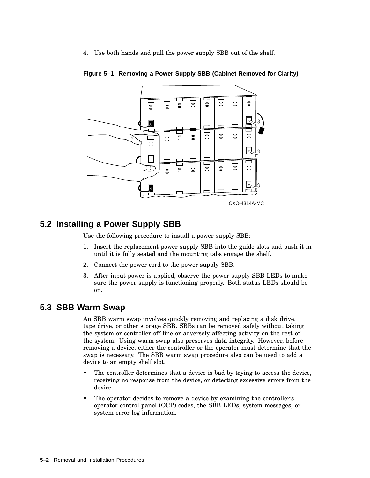4. Use both hands and pull the power supply SBB out of the shelf.



**Figure 5–1 Removing a Power Supply SBB (Cabinet Removed for Clarity)**

# **5.2 Installing a Power Supply SBB**

Use the following procedure to install a power supply SBB:

- 1. Insert the replacement power supply SBB into the guide slots and push it in until it is fully seated and the mounting tabs engage the shelf.
- 2. Connect the power cord to the power supply SBB.
- 3. After input power is applied, observe the power supply SBB LEDs to make sure the power supply is functioning properly. Both status LEDs should be on.

### **5.3 SBB Warm Swap**

An SBB warm swap involves quickly removing and replacing a disk drive, tape drive, or other storage SBB. SBBs can be removed safely without taking the system or controller off line or adversely affecting activity on the rest of the system. Using warm swap also preserves data integrity. However, before removing a device, either the controller or the operator must determine that the swap is necessary. The SBB warm swap procedure also can be used to add a device to an empty shelf slot.

- The controller determines that a device is bad by trying to access the device, receiving no response from the device, or detecting excessive errors from the device.
- The operator decides to remove a device by examining the controller's operator control panel (OCP) codes, the SBB LEDs, system messages, or system error log information.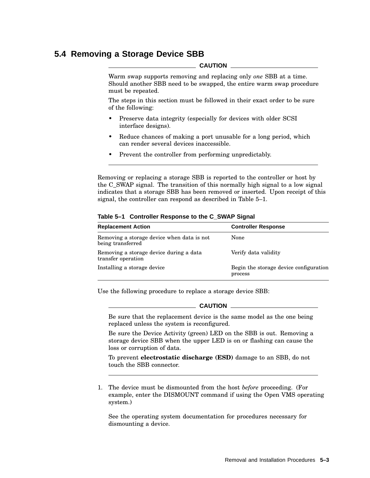# **5.4 Removing a Storage Device SBB**

#### **CAUTION**

Warm swap supports removing and replacing only *one* SBB at a time. Should another SBB need to be swapped, the entire warm swap procedure must be repeated.

The steps in this section must be followed in their exact order to be sure of the following:

- Preserve data integrity (especially for devices with older SCSI interface designs).
- Reduce chances of making a port unusable for a long period, which can render several devices inaccessible.
- Prevent the controller from performing unpredictably.

Removing or replacing a storage SBB is reported to the controller or host by the C\_SWAP signal. The transition of this normally high signal to a low signal indicates that a storage SBB has been removed or inserted. Upon receipt of this signal, the controller can respond as described in Table 5–1.

| <b>Replacement Action</b>                                       | <b>Controller Response</b>                        |
|-----------------------------------------------------------------|---------------------------------------------------|
| Removing a storage device when data is not<br>being transferred | None                                              |
| Removing a storage device during a data<br>transfer operation   | Verify data validity                              |
| Installing a storage device                                     | Begin the storage device configuration<br>process |

#### **Table 5–1 Controller Response to the C\_SWAP Signal**

Use the following procedure to replace a storage device SBB:

#### **CAUTION**

Be sure that the replacement device is the same model as the one being replaced unless the system is reconfigured.

Be sure the Device Activity (green) LED on the SBB is out. Removing a storage device SBB when the upper LED is on or flashing can cause the loss or corruption of data.

To prevent **electrostatic discharge (ESD)** damage to an SBB, do not touch the SBB connector.

1. The device must be dismounted from the host *before* proceeding. (For example, enter the DISMOUNT command if using the Open VMS operating system.)

See the operating system documentation for procedures necessary for dismounting a device.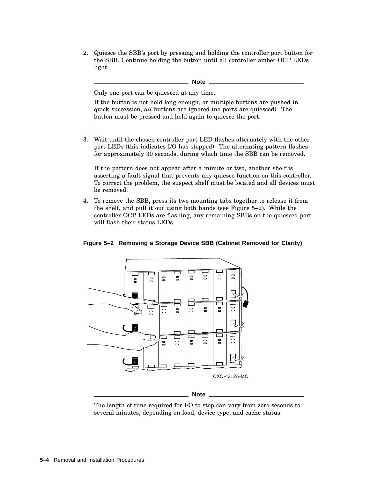2. Quiesce the SBB's port by pressing and holding the controller port button for the SBB. Continue holding the button until all controller amber OCP LEDs light.

|    | Note                                                                                                                                                                                                                    |
|----|-------------------------------------------------------------------------------------------------------------------------------------------------------------------------------------------------------------------------|
|    | Only one port can be quiesced at any time.                                                                                                                                                                              |
|    | If the button is not held long enough, or multiple buttons are pushed in<br>quick succession, <i>all</i> buttons are ignored (no ports are quiesced). The<br>button must be pressed and held again to quiesce the port. |
| 3. | Wait until the chosen controller port LED flashes alternately with the other<br>port LEDs (this indicates I/O has stopped). The alternating pattern flashes                                                             |

for approximately 30 seconds, during which time the SBB can be removed.

If the pattern does not appear after a minute or two, another shelf is asserting a fault signal that prevents any quiesce function on this controller. To correct the problem, the suspect shelf must be located and all devices must be removed.

4. To remove the SBB, press its two mounting tabs together to release it from the shelf, and pull it out using both hands (see Figure 5–2). While the controller OCP LEDs are flashing, any remaining SBBs on the quiesced port will flash their status LEDs.

### **Figure 5–2 Removing a Storage Device SBB (Cabinet Removed for Clarity)**



**Note**

The length of time required for I/O to stop can vary from zero seconds to several minutes, depending on load, device type, and cache status.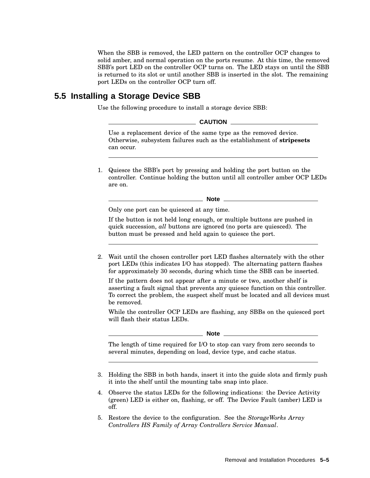When the SBB is removed, the LED pattern on the controller OCP changes to solid amber, and normal operation on the ports resume. At this time, the removed SBB's port LED on the controller OCP turns on. The LED stays on until the SBB is returned to its slot or until another SBB is inserted in the slot. The remaining port LEDs on the controller OCP turn off.

### **5.5 Installing a Storage Device SBB**

Use the following procedure to install a storage device SBB:

| <b>CAUTION</b>                                                                                                                                   |  |
|--------------------------------------------------------------------------------------------------------------------------------------------------|--|
| Use a replacement device of the same type as the removed device.<br>Otherwise, subsystem failures such as the establishment of <b>stripesets</b> |  |
| can occur.                                                                                                                                       |  |

1. Quiesce the SBB's port by pressing and holding the port button on the controller. Continue holding the button until all controller amber OCP LEDs are on.

**Note**

Only one port can be quiesced at any time.

If the button is not held long enough, or multiple buttons are pushed in quick succession, *all* buttons are ignored (no ports are quiesced). The button must be pressed and held again to quiesce the port.

2. Wait until the chosen controller port LED flashes alternately with the other port LEDs (this indicates I/O has stopped). The alternating pattern flashes for approximately 30 seconds, during which time the SBB can be inserted.

If the pattern does not appear after a minute or two, another shelf is asserting a fault signal that prevents any quiesce function on this controller. To correct the problem, the suspect shelf must be located and all devices must be removed.

While the controller OCP LEDs are flashing, any SBBs on the quiesced port will flash their status LEDs.

**Note**

The length of time required for I/O to stop can vary from zero seconds to several minutes, depending on load, device type, and cache status.

- 3. Holding the SBB in both hands, insert it into the guide slots and firmly push it into the shelf until the mounting tabs snap into place.
- 4. Observe the status LEDs for the following indications: the Device Activity (green) LED is either on, flashing, or off. The Device Fault (amber) LED is off.
- 5. Restore the device to the configuration. See the *StorageWorks Array Controllers HS Family of Array Controllers Service Manual*.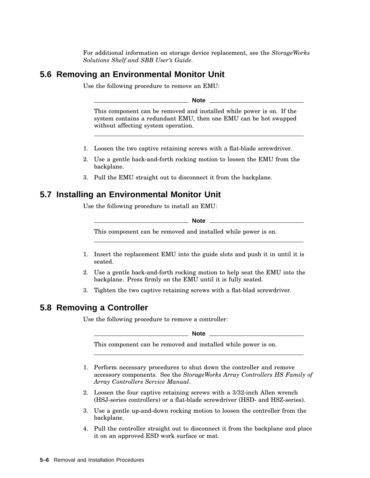For additional information on storage device replacement, see the *StorageWorks Solutions Shelf and SBB User's Guide*.

### **5.6 Removing an Environmental Monitor Unit**

Use the following procedure to remove an EMU:

**Note**

This component can be removed and installed while power is on. If the system contains a redundant EMU, then one EMU can be hot swapped without affecting system operation.

- 1. Loosen the two captive retaining screws with a flat-blade screwdriver.
- 2. Use a gentle back-and-forth rocking motion to loosen the EMU from the backplane.
- 3. Pull the EMU straight out to disconnect it from the backplane.

### **5.7 Installing an Environmental Monitor Unit**

Use the following procedure to install an EMU:

**Note**

This component can be removed and installed while power is on.

- 1. Insert the replacement EMU into the guide slots and push it in until it is seated.
- 2. Use a gentle back-and-forth rocking motion to help seat the EMU into the backplane. Press firmly on the EMU until it is fully seated.
- 3. Tighten the two captive retaining screws with a flat-blad screwdriver.

### **5.8 Removing a Controller**

Use the following procedure to remove a controller:

**Note**

This component can be removed and installed while power is on.

- 1. Perform necessary procedures to shut down the controller and remove accessory components. See the *StorageWorks Array Controllers HS Family of Array Controllers Service Manual*.
- 2. Loosen the four captive retaining screws with a 3/32-inch Allen wrench (HSJ-series controllers) or a flat-blade screwdriver (HSD- and HSZ-series).
- 3. Use a gentle up-and-down rocking motion to loosen the controller from the backplane.
- 4. Pull the controller straight out to disconnect it from the backplane and place it on an approved ESD work surface or mat.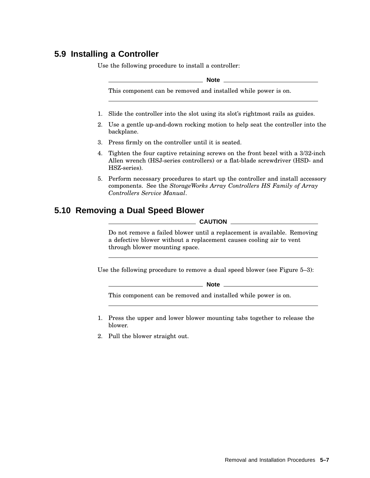# **5.9 Installing a Controller**

Use the following procedure to install a controller:

**Note**

This component can be removed and installed while power is on.

- 1. Slide the controller into the slot using its slot's rightmost rails as guides.
- 2. Use a gentle up-and-down rocking motion to help seat the controller into the backplane.
- 3. Press firmly on the controller until it is seated.
- 4. Tighten the four captive retaining screws on the front bezel with a 3/32-inch Allen wrench (HSJ-series controllers) or a flat-blade screwdriver (HSD- and HSZ-series).
- 5. Perform necessary procedures to start up the controller and install accessory components. See the *StorageWorks Array Controllers HS Family of Array Controllers Service Manual*.

# **5.10 Removing a Dual Speed Blower**

**CAUTION**

Do not remove a failed blower until a replacement is available. Removing a defective blower without a replacement causes cooling air to vent through blower mounting space.

Use the following procedure to remove a dual speed blower (see Figure 5–3):

**Note**

This component can be removed and installed while power is on.

- 1. Press the upper and lower blower mounting tabs together to release the blower.
- 2. Pull the blower straight out.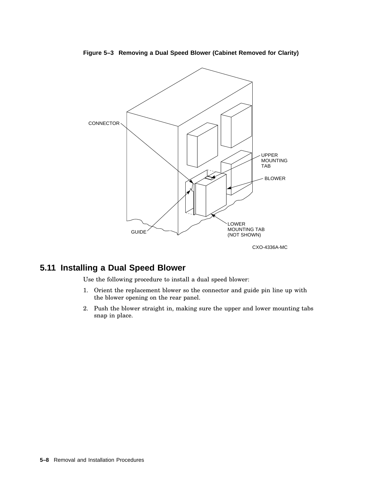

**Figure 5–3 Removing a Dual Speed Blower (Cabinet Removed for Clarity)**

# **5.11 Installing a Dual Speed Blower**

Use the following procedure to install a dual speed blower:

- 1. Orient the replacement blower so the connector and guide pin line up with the blower opening on the rear panel.
- 2. Push the blower straight in, making sure the upper and lower mounting tabs snap in place.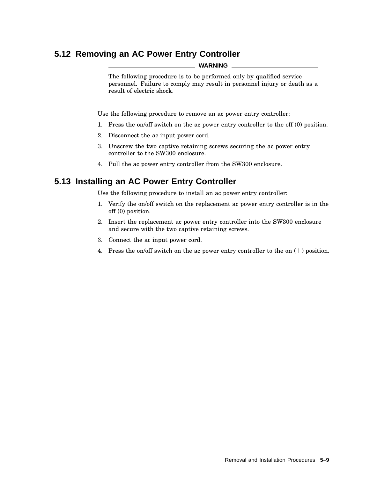# **5.12 Removing an AC Power Entry Controller**

#### **WARNING**

The following procedure is to be performed only by qualified service personnel. Failure to comply may result in personnel injury or death as a result of electric shock.

Use the following procedure to remove an ac power entry controller:

- 1. Press the on/off switch on the ac power entry controller to the off (0) position.
- 2. Disconnect the ac input power cord.
- 3. Unscrew the two captive retaining screws securing the ac power entry controller to the SW300 enclosure.
- 4. Pull the ac power entry controller from the SW300 enclosure.

### **5.13 Installing an AC Power Entry Controller**

Use the following procedure to install an ac power entry controller:

- 1. Verify the on/off switch on the replacement ac power entry controller is in the off (0) position.
- 2. Insert the replacement ac power entry controller into the SW300 enclosure and secure with the two captive retaining screws.
- 3. Connect the ac input power cord.
- 4. Press the on/off switch on the ac power entry controller to the on ( | ) position.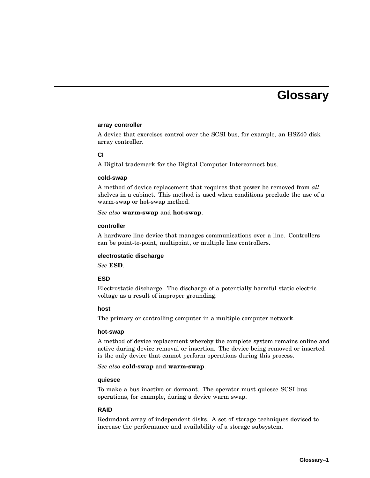# **Glossary**

#### **array controller**

A device that exercises control over the SCSI bus, for example, an HSZ40 disk array controller.

#### **CI**

A Digital trademark for the Digital Computer Interconnect bus.

#### **cold-swap**

A method of device replacement that requires that power be removed from *all* shelves in a cabinet. This method is used when conditions preclude the use of a warm-swap or hot-swap method.

*See also* **warm-swap** and **hot-swap**.

#### **controller**

A hardware line device that manages communications over a line. Controllers can be point-to-point, multipoint, or multiple line controllers.

#### **electrostatic discharge**

*See* **ESD**.

#### **ESD**

Electrostatic discharge. The discharge of a potentially harmful static electric voltage as a result of improper grounding.

#### **host**

The primary or controlling computer in a multiple computer network.

#### **hot-swap**

A method of device replacement whereby the complete system remains online and active during device removal or insertion. The device being removed or inserted is the only device that cannot perform operations during this process.

*See also* **cold-swap** and **warm-swap**.

#### **quiesce**

To make a bus inactive or dormant. The operator must quiesce SCSI bus operations, for example, during a device warm swap.

#### **RAID**

Redundant array of independent disks. A set of storage techniques devised to increase the performance and availability of a storage subsystem.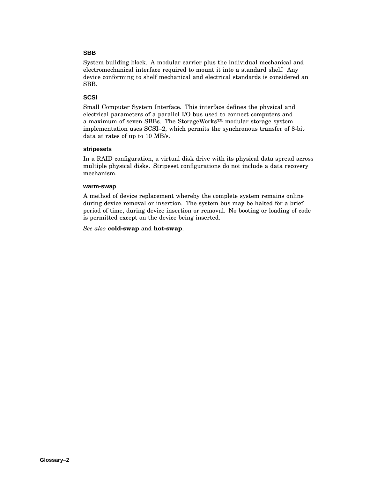#### **SBB**

System building block. A modular carrier plus the individual mechanical and electromechanical interface required to mount it into a standard shelf. Any device conforming to shelf mechanical and electrical standards is considered an SBB.

#### **SCSI**

Small Computer System Interface. This interface defines the physical and electrical parameters of a parallel I/O bus used to connect computers and a maximum of seven SBBs. The StorageWorks™ modular storage system implementation uses SCSI–2, which permits the synchronous transfer of 8-bit data at rates of up to 10 MB/s.

#### **stripesets**

In a RAID configuration, a virtual disk drive with its physical data spread across multiple physical disks. Stripeset configurations do not include a data recovery mechanism.

#### **warm-swap**

A method of device replacement whereby the complete system remains online during device removal or insertion. The system bus may be halted for a brief period of time, during device insertion or removal. No booting or loading of code is permitted except on the device being inserted.

*See also* **cold-swap** and **hot-swap**.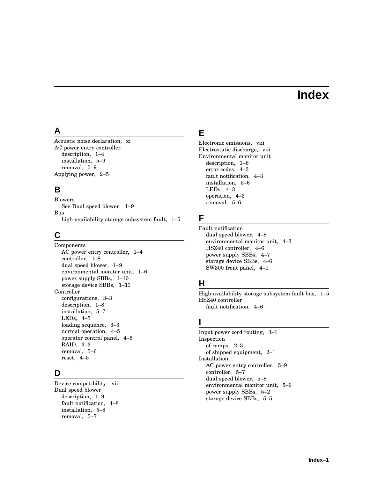# **Index**

### **A**

Acoustic noise declaration, xi AC power entry controller description, 1–4 installation, 5–9 removal, 5–9 Applying power, 2–5

### **B**

Blowers See Dual speed blower, 1–9 Bus high-availability storage subsystem fault, 1–5

# **C**

Components AC power entry controller, 1–4 controller, 1–8 dual speed blower, 1–9 environmental monitor unit, 1–6 power supply SBBs, 1–10 storage device SBBs, 1–11 Controller configurations, 3–3 description, 1–8 installation, 5–7 LEDs, 4–5 loading sequence, 3–3 normal operation, 4–5 operator control panel, 4–5 RAID, 3–3 removal, 5–6 reset, 4–5

### **D**

Device compatibility, viii Dual speed blower description, 1–9 fault notification, 4–8 installation, 5–8 removal, 5–7

# **E**

Electronic emissions, viii Electrostatic discharge, viii Environmental monitor unit description, 1–6 error codes, 4–3 fault notification, 4–3 installation, 5–6 LEDs, 4–3 operation, 4–3 removal, 5–6

# **F**

Fault notification dual speed blower, 4–8 environmental monitor unit, 4–3 HSZ40 controller, 4–6 power supply SBBs, 4–7 storage device SBBs, 4–6 SW300 front panel, 4–1

### **H**

High-availability storage subsystem fault bus, 1–5 HSZ40 controller fault notification, 4–6

### **I**

Input power cord routing, 3–1 Inspection of ramps, 2–3 of shipped equipment, 2–1 Installation AC power entry controller, 5–9 controller, 5–7 dual speed blower, 5–8 environmental monitor unit, 5–6 power supply SBBs, 5–2 storage device SBBs, 5–5